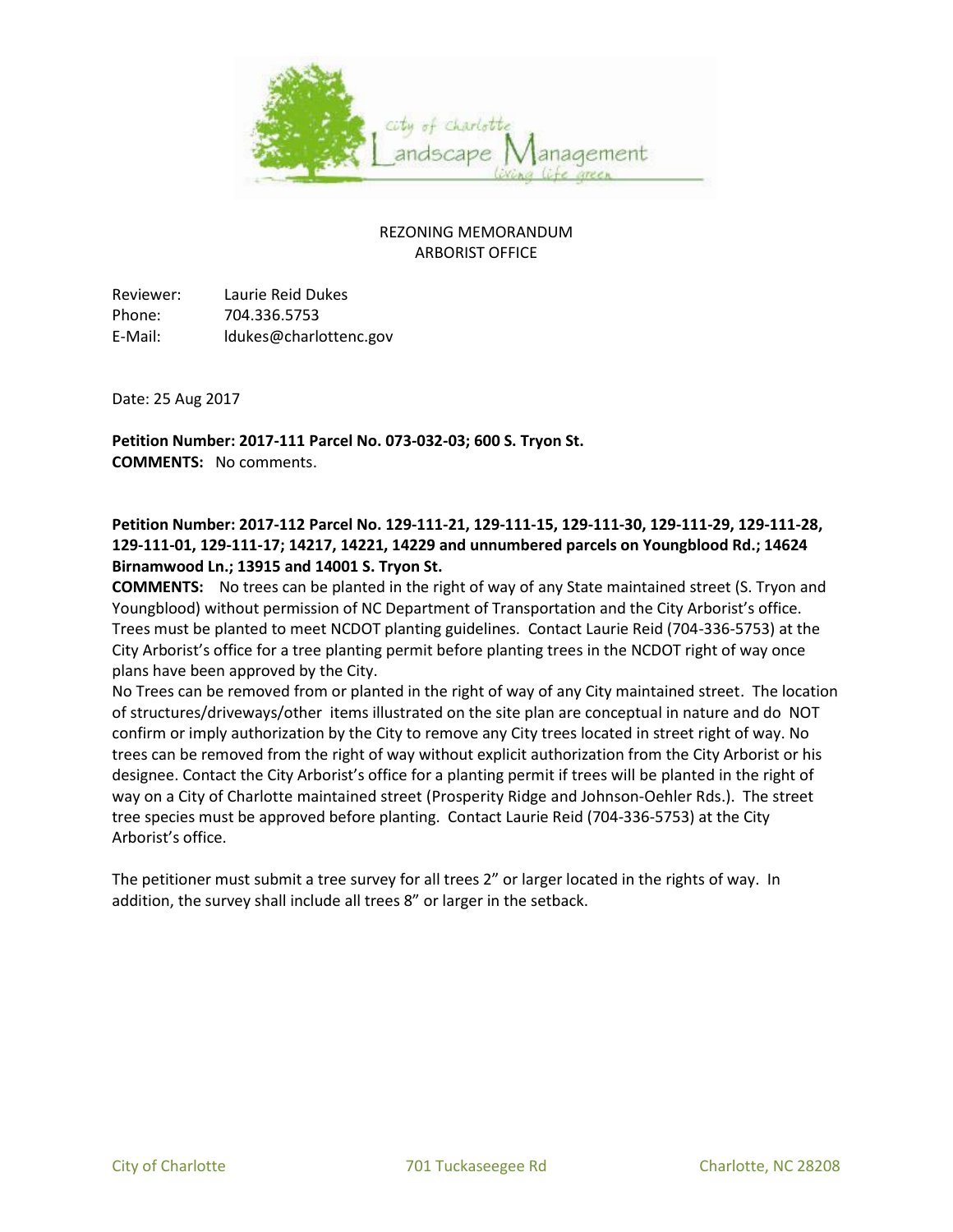

## REZONING MEMORANDUM ARBORIST OFFICE

Reviewer: Laurie Reid Dukes Phone: 704.336.5753 E-Mail: ldukes@charlottenc.gov

Date: 25 Aug 2017

**Petition Number: 2017-111 Parcel No. 073-032-03; 600 S. Tryon St. COMMENTS:** No comments.

## **Petition Number: 2017-112 Parcel No. 129-111-21, 129-111-15, 129-111-30, 129-111-29, 129-111-28, 129-111-01, 129-111-17; 14217, 14221, 14229 and unnumbered parcels on Youngblood Rd.; 14624 Birnamwood Ln.; 13915 and 14001 S. Tryon St.**

**COMMENTS:** No trees can be planted in the right of way of any State maintained street (S. Tryon and Youngblood) without permission of NC Department of Transportation and the City Arborist's office. Trees must be planted to meet NCDOT planting guidelines. Contact Laurie Reid (704-336-5753) at the City Arborist's office for a tree planting permit before planting trees in the NCDOT right of way once plans have been approved by the City.

No Trees can be removed from or planted in the right of way of any City maintained street. The location of structures/driveways/other items illustrated on the site plan are conceptual in nature and do NOT confirm or imply authorization by the City to remove any City trees located in street right of way. No trees can be removed from the right of way without explicit authorization from the City Arborist or his designee. Contact the City Arborist's office for a planting permit if trees will be planted in the right of way on a City of Charlotte maintained street (Prosperity Ridge and Johnson-Oehler Rds.). The street tree species must be approved before planting. Contact Laurie Reid (704-336-5753) at the City Arborist's office.

The petitioner must submit a tree survey for all trees 2" or larger located in the rights of way. In addition, the survey shall include all trees 8" or larger in the setback.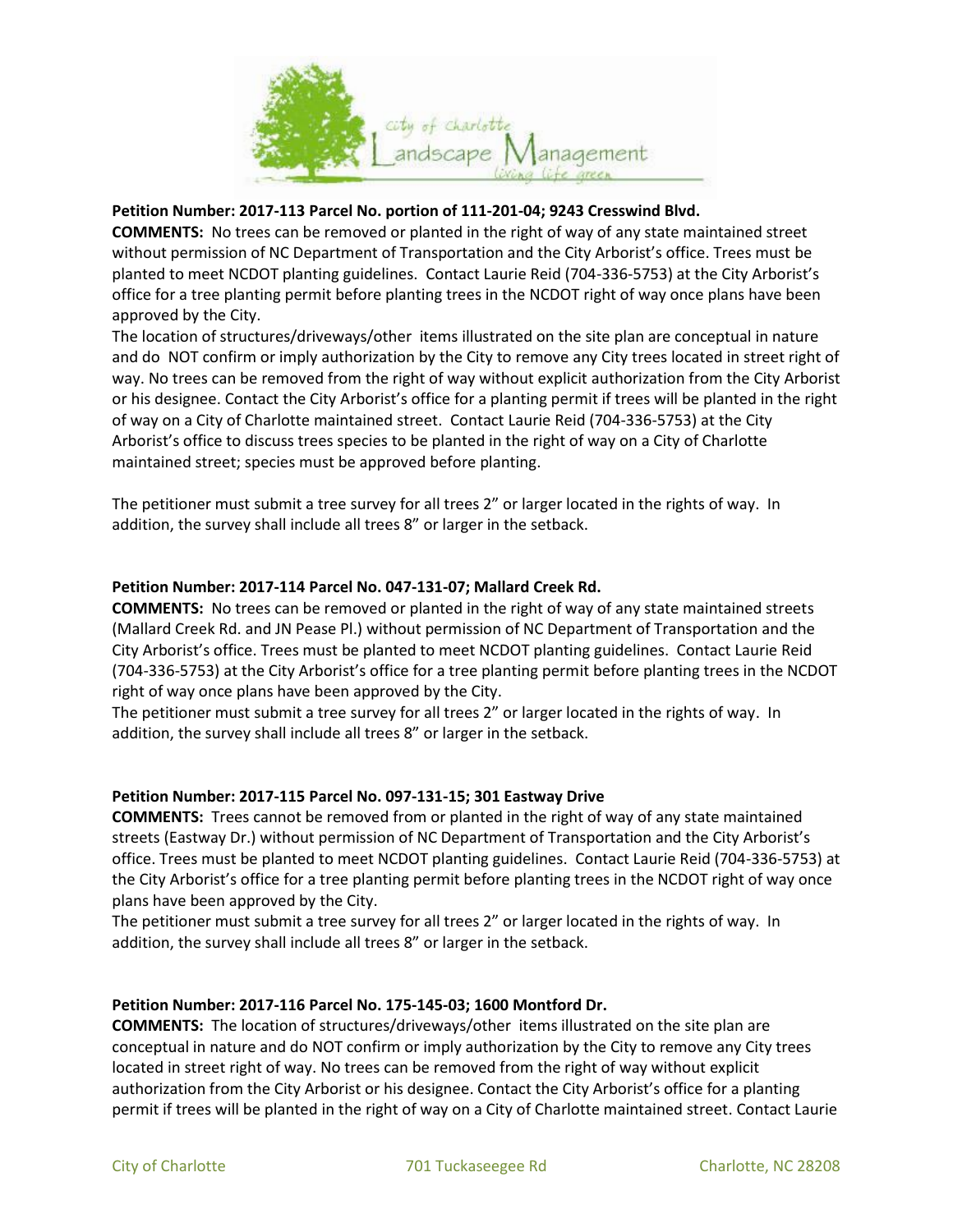

## **Petition Number: 2017-113 Parcel No. portion of 111-201-04; 9243 Cresswind Blvd.**

**COMMENTS:** No trees can be removed or planted in the right of way of any state maintained street without permission of NC Department of Transportation and the City Arborist's office. Trees must be planted to meet NCDOT planting guidelines. Contact Laurie Reid (704-336-5753) at the City Arborist's office for a tree planting permit before planting trees in the NCDOT right of way once plans have been approved by the City.

The location of structures/driveways/other items illustrated on the site plan are conceptual in nature and do NOT confirm or imply authorization by the City to remove any City trees located in street right of way. No trees can be removed from the right of way without explicit authorization from the City Arborist or his designee. Contact the City Arborist's office for a planting permit if trees will be planted in the right of way on a City of Charlotte maintained street. Contact Laurie Reid (704-336-5753) at the City Arborist's office to discuss trees species to be planted in the right of way on a City of Charlotte maintained street; species must be approved before planting.

The petitioner must submit a tree survey for all trees 2" or larger located in the rights of way. In addition, the survey shall include all trees 8" or larger in the setback.

### **Petition Number: 2017-114 Parcel No. 047-131-07; Mallard Creek Rd.**

**COMMENTS:** No trees can be removed or planted in the right of way of any state maintained streets (Mallard Creek Rd. and JN Pease Pl.) without permission of NC Department of Transportation and the City Arborist's office. Trees must be planted to meet NCDOT planting guidelines. Contact Laurie Reid (704-336-5753) at the City Arborist's office for a tree planting permit before planting trees in the NCDOT right of way once plans have been approved by the City.

The petitioner must submit a tree survey for all trees 2" or larger located in the rights of way. In addition, the survey shall include all trees 8" or larger in the setback.

#### **Petition Number: 2017-115 Parcel No. 097-131-15; 301 Eastway Drive**

**COMMENTS:** Trees cannot be removed from or planted in the right of way of any state maintained streets (Eastway Dr.) without permission of NC Department of Transportation and the City Arborist's office. Trees must be planted to meet NCDOT planting guidelines. Contact Laurie Reid (704-336-5753) at the City Arborist's office for a tree planting permit before planting trees in the NCDOT right of way once plans have been approved by the City.

The petitioner must submit a tree survey for all trees 2" or larger located in the rights of way. In addition, the survey shall include all trees 8" or larger in the setback.

#### **Petition Number: 2017-116 Parcel No. 175-145-03; 1600 Montford Dr.**

**COMMENTS:** The location of structures/driveways/other items illustrated on the site plan are conceptual in nature and do NOT confirm or imply authorization by the City to remove any City trees located in street right of way. No trees can be removed from the right of way without explicit authorization from the City Arborist or his designee. Contact the City Arborist's office for a planting permit if trees will be planted in the right of way on a City of Charlotte maintained street. Contact Laurie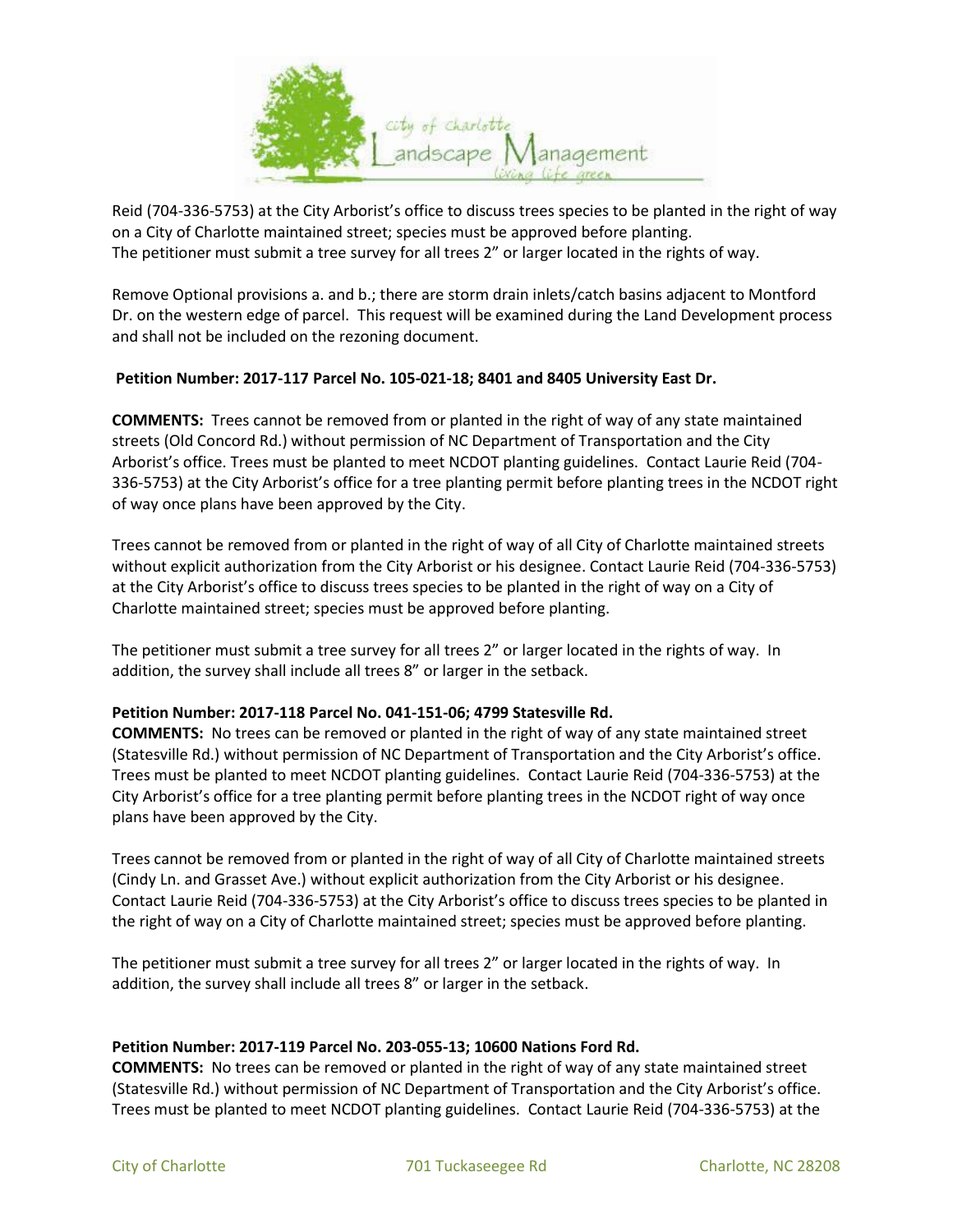

Reid (704-336-5753) at the City Arborist's office to discuss trees species to be planted in the right of way on a City of Charlotte maintained street; species must be approved before planting. The petitioner must submit a tree survey for all trees 2" or larger located in the rights of way.

Remove Optional provisions a. and b.; there are storm drain inlets/catch basins adjacent to Montford Dr. on the western edge of parcel. This request will be examined during the Land Development process and shall not be included on the rezoning document.

## **Petition Number: 2017-117 Parcel No. 105-021-18; 8401 and 8405 University East Dr.**

**COMMENTS:** Trees cannot be removed from or planted in the right of way of any state maintained streets (Old Concord Rd.) without permission of NC Department of Transportation and the City Arborist's office. Trees must be planted to meet NCDOT planting guidelines. Contact Laurie Reid (704- 336-5753) at the City Arborist's office for a tree planting permit before planting trees in the NCDOT right of way once plans have been approved by the City.

Trees cannot be removed from or planted in the right of way of all City of Charlotte maintained streets without explicit authorization from the City Arborist or his designee. Contact Laurie Reid (704-336-5753) at the City Arborist's office to discuss trees species to be planted in the right of way on a City of Charlotte maintained street; species must be approved before planting.

The petitioner must submit a tree survey for all trees 2" or larger located in the rights of way. In addition, the survey shall include all trees 8" or larger in the setback.

## **Petition Number: 2017-118 Parcel No. 041-151-06; 4799 Statesville Rd.**

**COMMENTS:** No trees can be removed or planted in the right of way of any state maintained street (Statesville Rd.) without permission of NC Department of Transportation and the City Arborist's office. Trees must be planted to meet NCDOT planting guidelines. Contact Laurie Reid (704-336-5753) at the City Arborist's office for a tree planting permit before planting trees in the NCDOT right of way once plans have been approved by the City.

Trees cannot be removed from or planted in the right of way of all City of Charlotte maintained streets (Cindy Ln. and Grasset Ave.) without explicit authorization from the City Arborist or his designee. Contact Laurie Reid (704-336-5753) at the City Arborist's office to discuss trees species to be planted in the right of way on a City of Charlotte maintained street; species must be approved before planting.

The petitioner must submit a tree survey for all trees 2" or larger located in the rights of way. In addition, the survey shall include all trees 8" or larger in the setback.

#### **Petition Number: 2017-119 Parcel No. 203-055-13; 10600 Nations Ford Rd.**

**COMMENTS:** No trees can be removed or planted in the right of way of any state maintained street (Statesville Rd.) without permission of NC Department of Transportation and the City Arborist's office. Trees must be planted to meet NCDOT planting guidelines. Contact Laurie Reid (704-336-5753) at the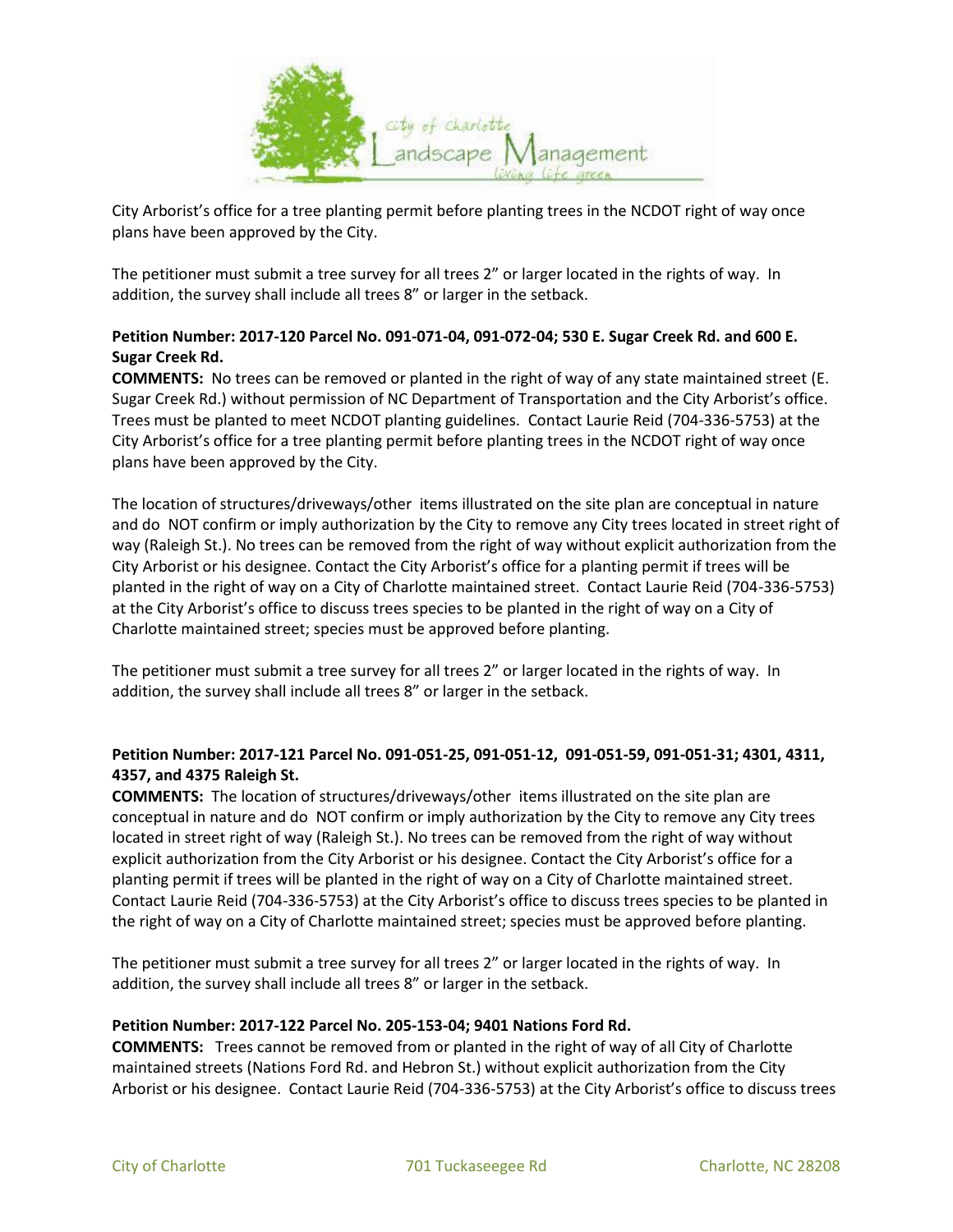

City Arborist's office for a tree planting permit before planting trees in the NCDOT right of way once plans have been approved by the City.

The petitioner must submit a tree survey for all trees 2" or larger located in the rights of way. In addition, the survey shall include all trees 8" or larger in the setback.

# **Petition Number: 2017-120 Parcel No. 091-071-04, 091-072-04; 530 E. Sugar Creek Rd. and 600 E. Sugar Creek Rd.**

**COMMENTS:** No trees can be removed or planted in the right of way of any state maintained street (E. Sugar Creek Rd.) without permission of NC Department of Transportation and the City Arborist's office. Trees must be planted to meet NCDOT planting guidelines. Contact Laurie Reid (704-336-5753) at the City Arborist's office for a tree planting permit before planting trees in the NCDOT right of way once plans have been approved by the City.

The location of structures/driveways/other items illustrated on the site plan are conceptual in nature and do NOT confirm or imply authorization by the City to remove any City trees located in street right of way (Raleigh St.). No trees can be removed from the right of way without explicit authorization from the City Arborist or his designee. Contact the City Arborist's office for a planting permit if trees will be planted in the right of way on a City of Charlotte maintained street. Contact Laurie Reid (704-336-5753) at the City Arborist's office to discuss trees species to be planted in the right of way on a City of Charlotte maintained street; species must be approved before planting.

The petitioner must submit a tree survey for all trees 2" or larger located in the rights of way. In addition, the survey shall include all trees 8" or larger in the setback.

# **Petition Number: 2017-121 Parcel No. 091-051-25, 091-051-12, 091-051-59, 091-051-31; 4301, 4311, 4357, and 4375 Raleigh St.**

**COMMENTS:** The location of structures/driveways/other items illustrated on the site plan are conceptual in nature and do NOT confirm or imply authorization by the City to remove any City trees located in street right of way (Raleigh St.). No trees can be removed from the right of way without explicit authorization from the City Arborist or his designee. Contact the City Arborist's office for a planting permit if trees will be planted in the right of way on a City of Charlotte maintained street. Contact Laurie Reid (704-336-5753) at the City Arborist's office to discuss trees species to be planted in the right of way on a City of Charlotte maintained street; species must be approved before planting.

The petitioner must submit a tree survey for all trees 2" or larger located in the rights of way. In addition, the survey shall include all trees 8" or larger in the setback.

## **Petition Number: 2017-122 Parcel No. 205-153-04; 9401 Nations Ford Rd.**

**COMMENTS:** Trees cannot be removed from or planted in the right of way of all City of Charlotte maintained streets (Nations Ford Rd. and Hebron St.) without explicit authorization from the City Arborist or his designee. Contact Laurie Reid (704-336-5753) at the City Arborist's office to discuss trees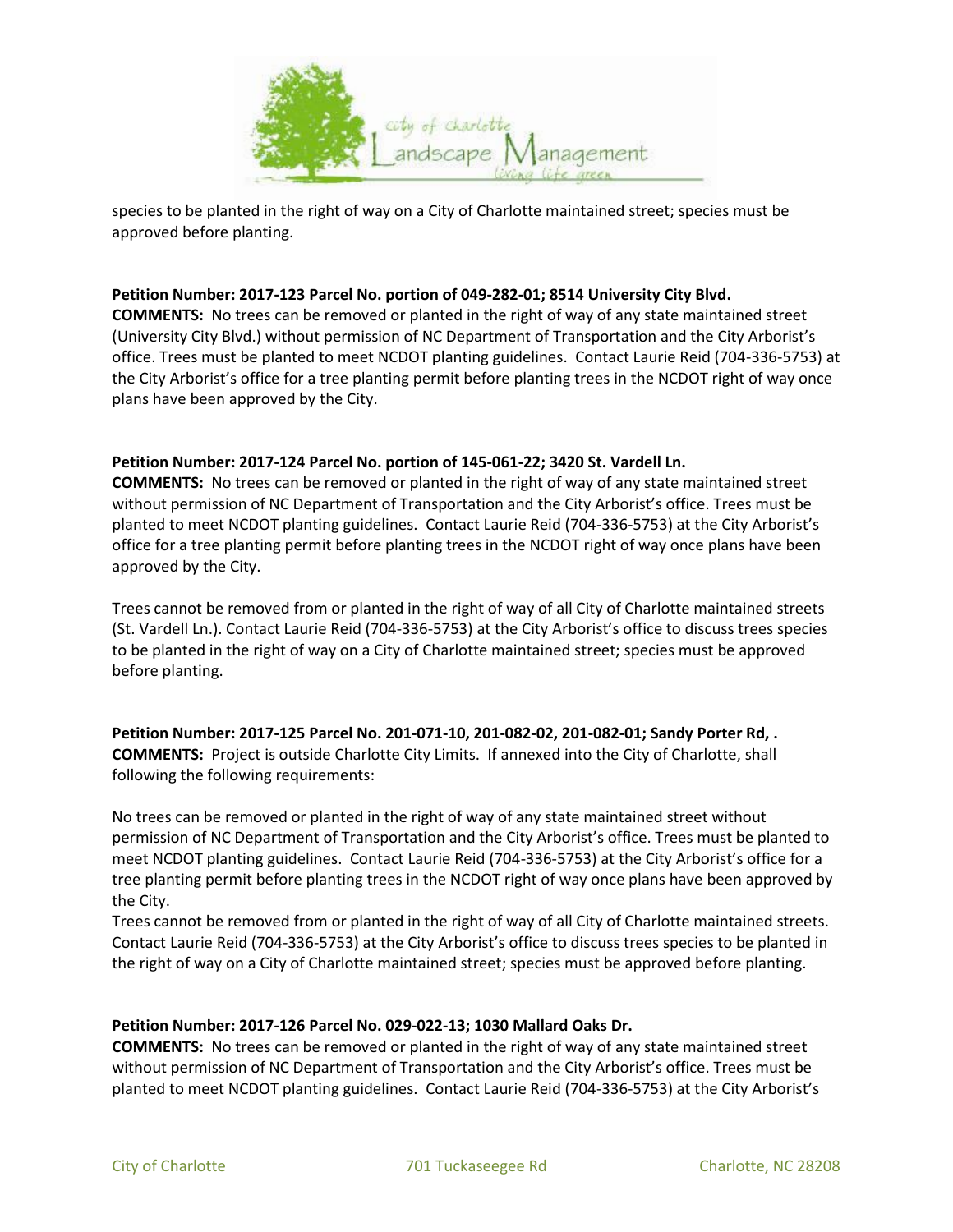

species to be planted in the right of way on a City of Charlotte maintained street; species must be approved before planting.

### **Petition Number: 2017-123 Parcel No. portion of 049-282-01; 8514 University City Blvd.**

**COMMENTS:** No trees can be removed or planted in the right of way of any state maintained street (University City Blvd.) without permission of NC Department of Transportation and the City Arborist's office. Trees must be planted to meet NCDOT planting guidelines. Contact Laurie Reid (704-336-5753) at the City Arborist's office for a tree planting permit before planting trees in the NCDOT right of way once plans have been approved by the City.

### **Petition Number: 2017-124 Parcel No. portion of 145-061-22; 3420 St. Vardell Ln.**

**COMMENTS:** No trees can be removed or planted in the right of way of any state maintained street without permission of NC Department of Transportation and the City Arborist's office. Trees must be planted to meet NCDOT planting guidelines. Contact Laurie Reid (704-336-5753) at the City Arborist's office for a tree planting permit before planting trees in the NCDOT right of way once plans have been approved by the City.

Trees cannot be removed from or planted in the right of way of all City of Charlotte maintained streets (St. Vardell Ln.). Contact Laurie Reid (704-336-5753) at the City Arborist's office to discuss trees species to be planted in the right of way on a City of Charlotte maintained street; species must be approved before planting.

**Petition Number: 2017-125 Parcel No. 201-071-10, 201-082-02, 201-082-01; Sandy Porter Rd, . COMMENTS:** Project is outside Charlotte City Limits. If annexed into the City of Charlotte, shall following the following requirements:

No trees can be removed or planted in the right of way of any state maintained street without permission of NC Department of Transportation and the City Arborist's office. Trees must be planted to meet NCDOT planting guidelines. Contact Laurie Reid (704-336-5753) at the City Arborist's office for a tree planting permit before planting trees in the NCDOT right of way once plans have been approved by the City.

Trees cannot be removed from or planted in the right of way of all City of Charlotte maintained streets. Contact Laurie Reid (704-336-5753) at the City Arborist's office to discuss trees species to be planted in the right of way on a City of Charlotte maintained street; species must be approved before planting.

#### **Petition Number: 2017-126 Parcel No. 029-022-13; 1030 Mallard Oaks Dr.**

**COMMENTS:** No trees can be removed or planted in the right of way of any state maintained street without permission of NC Department of Transportation and the City Arborist's office. Trees must be planted to meet NCDOT planting guidelines. Contact Laurie Reid (704-336-5753) at the City Arborist's